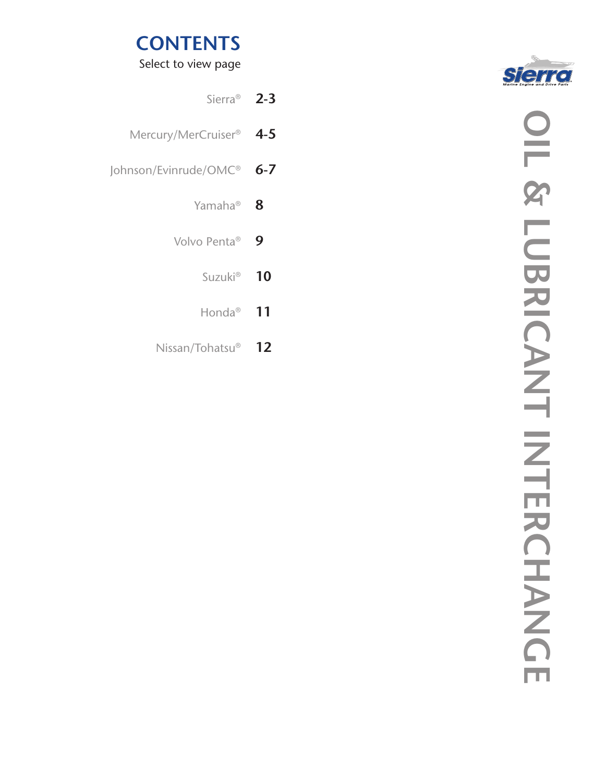

Select to view page

|         | Sierra <sup>®</sup> 2-3             |
|---------|-------------------------------------|
|         | Mercury/MerCruiser <sup>®</sup> 4-5 |
| $6 - 7$ | Johnson/Evinrude/OMC®               |
| 8       | Yamaha®                             |
| 9       | Volvo Penta <sup>®</sup>            |
| 10      | Suzuki <sup>®</sup>                 |
| 11      | Honda®                              |
|         |                                     |

Nissan/Tohatsu® **12**

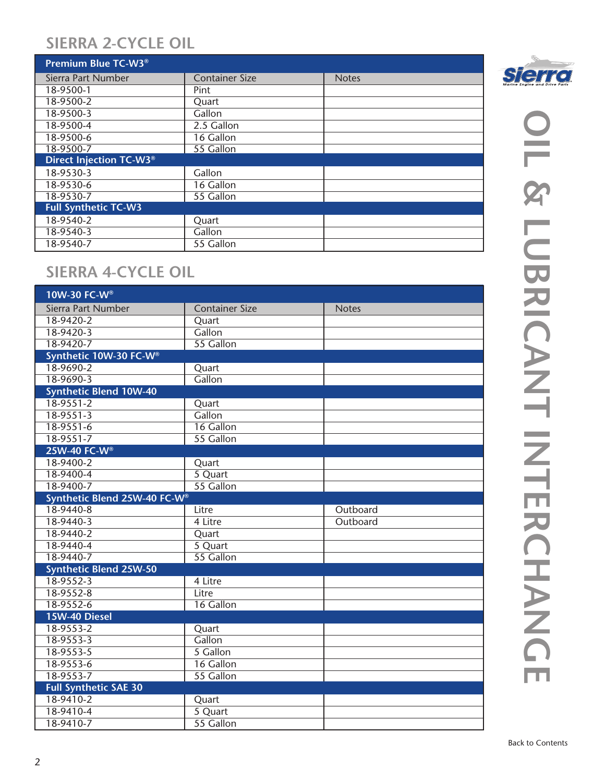#### **SIERRA 2-CYCLE OIL**

| Premium Blue TC-W3 <sup>®</sup> |                       |              |
|---------------------------------|-----------------------|--------------|
| Sierra Part Number              | <b>Container Size</b> | <b>Notes</b> |
| 18-9500-1                       | Pint                  |              |
| 18-9500-2                       | Quart                 |              |
| 18-9500-3                       | Gallon                |              |
| 18-9500-4                       | 2.5 Gallon            |              |
| 18-9500-6                       | 16 Gallon             |              |
| 18-9500-7                       | 55 Gallon             |              |
| Direct Injection TC-W3®         |                       |              |
| 18-9530-3                       | Gallon                |              |
| 18-9530-6                       | 16 Gallon             |              |
| 18-9530-7                       | 55 Gallon             |              |
| <b>Full Synthetic TC-W3</b>     |                       |              |
| 18-9540-2                       | Quart                 |              |
| 18-9540-3                       | Gallon                |              |
| 18-9540-7                       | 55 Gallon             |              |

### **SIERRA 4-CYCLE OIL**

| 10W-30 FC-W®                  |                       |              |
|-------------------------------|-----------------------|--------------|
| Sierra Part Number            | <b>Container Size</b> | <b>Notes</b> |
| 18-9420-2                     | Quart                 |              |
| $18-9420-3$                   | Gallon                |              |
| 18-9420-7                     | 55 Gallon             |              |
| Synthetic 10W-30 FC-W®        |                       |              |
| 18-9690-2                     | Quart                 |              |
| 18-9690-3                     | Gallon                |              |
| <b>Synthetic Blend 10W-40</b> |                       |              |
| $18-9551-2$                   | Quart                 |              |
| $18 - 9551 - 3$               | Gallon                |              |
| $18-9551-6$                   | 16 Gallon             |              |
| 18-9551-7                     | 55 Gallon             |              |
| 25W-40 FC-W®                  |                       |              |
| 18-9400-2                     | Quart                 |              |
| 18-9400-4                     | 5 Quart               |              |
| 18-9400-7                     | 55 Gallon             |              |
| Synthetic Blend 25W-40 FC-W®  |                       |              |
| 18-9440-8                     | Litre                 | Outboard     |
| 18-9440-3                     | 4 Litre               | Outboard     |
| 18-9440-2                     | Quart                 |              |
| 18-9440-4                     | 5 Quart               |              |
| 18-9440-7                     | 55 Gallon             |              |
| <b>Synthetic Blend 25W-50</b> |                       |              |
| 18-9552-3                     | 4 Litre               |              |
| 18-9552-8                     | Litre                 |              |
| 18-9552-6                     | 16 Gallon             |              |
| 15W-40 Diesel                 |                       |              |
| 18-9553-2                     | Quart                 |              |
| 18-9553-3                     | Gallon                |              |
| 18-9553-5                     | 5 Gallon              |              |
| 18-9553-6                     | 16 Gallon             |              |
| 18-9553-7                     | 55 Gallon             |              |
| <b>Full Synthetic SAE 30</b>  |                       |              |
| 18-9410-2                     | Quart                 |              |
| 18-9410-4                     | 5 Quart               |              |
| 18-9410-7                     | 55 Gallon             |              |
|                               |                       |              |

**Sierre Engine and Drive Parts.**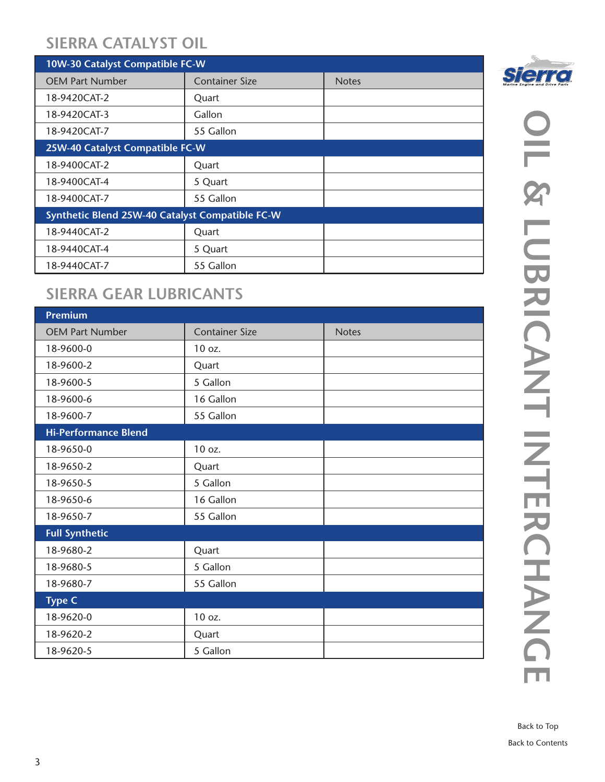#### **SIERRA CATALYST OIL**

| 10W-30 Catalyst Compatible FC-W                 |                       |              |  |
|-------------------------------------------------|-----------------------|--------------|--|
| <b>OEM Part Number</b>                          | <b>Container Size</b> | <b>Notes</b> |  |
| 18-9420CAT-2                                    | Quart                 |              |  |
| 18-9420CAT-3                                    | Gallon                |              |  |
| 18-9420CAT-7                                    | 55 Gallon             |              |  |
| 25W-40 Catalyst Compatible FC-W                 |                       |              |  |
| 18-9400CAT-2                                    | Quart                 |              |  |
| 18-9400CAT-4                                    | 5 Quart               |              |  |
| 18-9400CAT-7                                    | 55 Gallon             |              |  |
| Synthetic Blend 25W-40 Catalyst Compatible FC-W |                       |              |  |
| 18-9440CAT-2                                    | Quart                 |              |  |
| 18-9440CAT-4                                    | 5 Quart               |              |  |
| 18-9440CAT-7                                    | 55 Gallon             |              |  |

#### **SIERRA GEAR LUBRICANTS**

| <b>Premium</b>              |                       |              |
|-----------------------------|-----------------------|--------------|
| <b>OEM Part Number</b>      | <b>Container Size</b> | <b>Notes</b> |
| 18-9600-0                   | 10 oz.                |              |
| 18-9600-2                   | Quart                 |              |
| 18-9600-5                   | 5 Gallon              |              |
| 18-9600-6                   | 16 Gallon             |              |
| 18-9600-7                   | 55 Gallon             |              |
| <b>Hi-Performance Blend</b> |                       |              |
| 18-9650-0                   | 10 oz.                |              |
| 18-9650-2                   | Quart                 |              |
| 18-9650-5                   | 5 Gallon              |              |
| 18-9650-6                   | 16 Gallon             |              |
| 18-9650-7                   | 55 Gallon             |              |
| <b>Full Synthetic</b>       |                       |              |
| 18-9680-2                   | Quart                 |              |
| 18-9680-5                   | 5 Gallon              |              |
| 18-9680-7                   | 55 Gallon             |              |
| <b>Type C</b>               |                       |              |
| 18-9620-0                   | 10 oz.                |              |
| 18-9620-2                   | Quart                 |              |
| 18-9620-5                   | 5 Gallon              |              |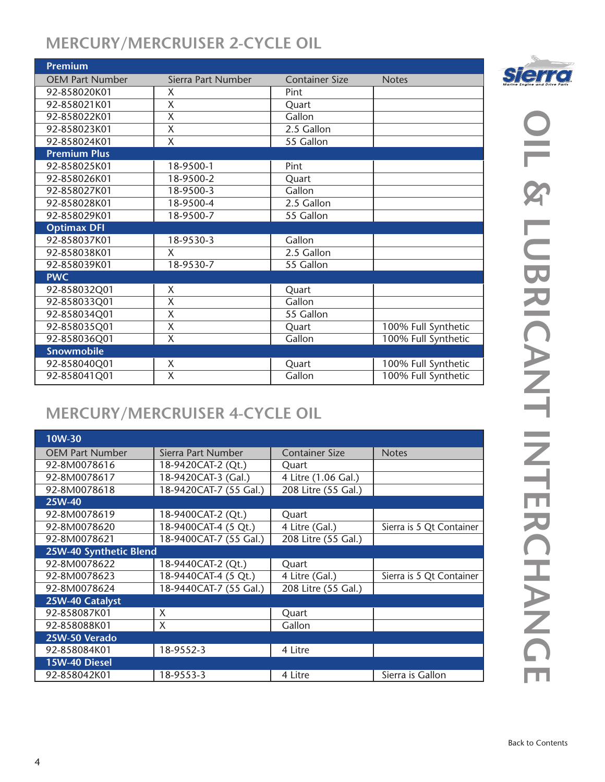## **MERCURY/MERCRUISER 2-CYCLE OIL**

| <b>Premium</b>         |                         |                       |                     |
|------------------------|-------------------------|-----------------------|---------------------|
| <b>OEM Part Number</b> | Sierra Part Number      | <b>Container Size</b> | <b>Notes</b>        |
| 92-858020K01           | Χ                       | Pint                  |                     |
| 92-858021K01           | X                       | Quart                 |                     |
| 92-858022K01           | X                       | Gallon                |                     |
| 92-858023K01           | X                       | 2.5 Gallon            |                     |
| 92-858024K01           | $\overline{\mathsf{X}}$ | 55 Gallon             |                     |
| <b>Premium Plus</b>    |                         |                       |                     |
| 92-858025K01           | 18-9500-1               | Pint                  |                     |
| 92-858026K01           | 18-9500-2               | Quart                 |                     |
| 92-858027K01           | 18-9500-3               | Gallon                |                     |
| 92-858028K01           | 18-9500-4               | 2.5 Gallon            |                     |
| 92-858029K01           | 18-9500-7               | 55 Gallon             |                     |
| <b>Optimax DFI</b>     |                         |                       |                     |
| 92-858037K01           | 18-9530-3               | Gallon                |                     |
| 92-858038K01           | X                       | 2.5 Gallon            |                     |
| 92-858039K01           | 18-9530-7               | 55 Gallon             |                     |
| <b>PWC</b>             |                         |                       |                     |
| 92-858032Q01           | X                       | Quart                 |                     |
| 92-858033Q01           | X                       | Gallon                |                     |
| 92-858034Q01           | X                       | 55 Gallon             |                     |
| 92-858035Q01           | $\overline{\mathsf{X}}$ | Quart                 | 100% Full Synthetic |
| 92-858036Q01           | $\overline{\mathsf{x}}$ | Gallon                | 100% Full Synthetic |
| <b>Snowmobile</b>      |                         |                       |                     |
| 92-858040Q01           | X                       | Quart                 | 100% Full Synthetic |
| 92-858041Q01           | X                       | Gallon                | 100% Full Synthetic |

# **MERCURY/MERCRUISER 4-CYCLE OIL**

| 10W-30                 |                        |                       |                          |
|------------------------|------------------------|-----------------------|--------------------------|
| <b>OEM Part Number</b> | Sierra Part Number     | <b>Container Size</b> | <b>Notes</b>             |
| 92-8M0078616           | 18-9420CAT-2 (Qt.)     | Quart                 |                          |
| 92-8M0078617           | 18-9420CAT-3 (Gal.)    | 4 Litre (1.06 Gal.)   |                          |
| 92-8M0078618           | 18-9420CAT-7 (55 Gal.) | 208 Litre (55 Gal.)   |                          |
| 25W-40                 |                        |                       |                          |
| 92-8M0078619           | 18-9400CAT-2 (Qt.)     | Quart                 |                          |
| 92-8M0078620           | 18-9400CAT-4 (5 Qt.)   | 4 Litre (Gal.)        | Sierra is 5 Qt Container |
| 92-8M0078621           | 18-9400CAT-7 (55 Gal.) | 208 Litre (55 Gal.)   |                          |
| 25W-40 Synthetic Blend |                        |                       |                          |
| 92-8M0078622           | 18-9440CAT-2 (Qt.)     | Quart                 |                          |
| 92-8M0078623           | 18-9440CAT-4 (5 Qt.)   | 4 Litre (Gal.)        | Sierra is 5 Qt Container |
| 92-8M0078624           | 18-9440CAT-7 (55 Gal.) | 208 Litre (55 Gal.)   |                          |
| 25W-40 Catalyst        |                        |                       |                          |
| 92-858087K01           | X                      | Quart                 |                          |
| 92-858088K01           | X                      | Gallon                |                          |
| 25W-50 Verado          |                        |                       |                          |
| 92-858084K01           | 18-9552-3              | 4 Litre               |                          |
| 15W-40 Diesel          |                        |                       |                          |
| 92-858042K01           | 18-9553-3              | 4 Litre               | Sierra is Gallon         |

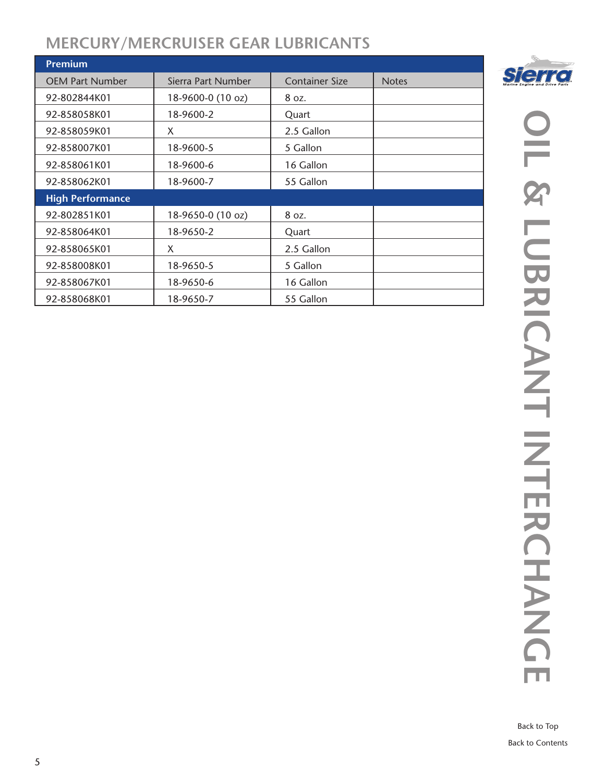#### **MERCURY/MERCRUISER GEAR LUBRICANTS**

| <b>Premium</b>          |                    |                       |              |
|-------------------------|--------------------|-----------------------|--------------|
| <b>OEM Part Number</b>  | Sierra Part Number | <b>Container Size</b> | <b>Notes</b> |
| 92-802844K01            | 18-9600-0 (10 oz)  | 8 oz.                 |              |
| 92-858058K01            | 18-9600-2          | Quart                 |              |
| 92-858059K01            | X                  | 2.5 Gallon            |              |
| 92-858007K01            | 18-9600-5          | 5 Gallon              |              |
| 92-858061K01            | 18-9600-6          | 16 Gallon             |              |
| 92-858062K01            | 18-9600-7          | 55 Gallon             |              |
| <b>High Performance</b> |                    |                       |              |
| 92-802851K01            | 18-9650-0 (10 oz)  | 8 oz.                 |              |
| 92-858064K01            | 18-9650-2          | Quart                 |              |
| 92-858065K01            | X                  | 2.5 Gallon            |              |
| 92-858008K01            | 18-9650-5          | 5 Gallon              |              |
| 92-858067K01            | 18-9650-6          | 16 Gallon             |              |
| 92-858068K01            | 18-9650-7          | 55 Gallon             |              |



**Sierre** Engine and Drive Parts

Back to Contents Back to Top

ш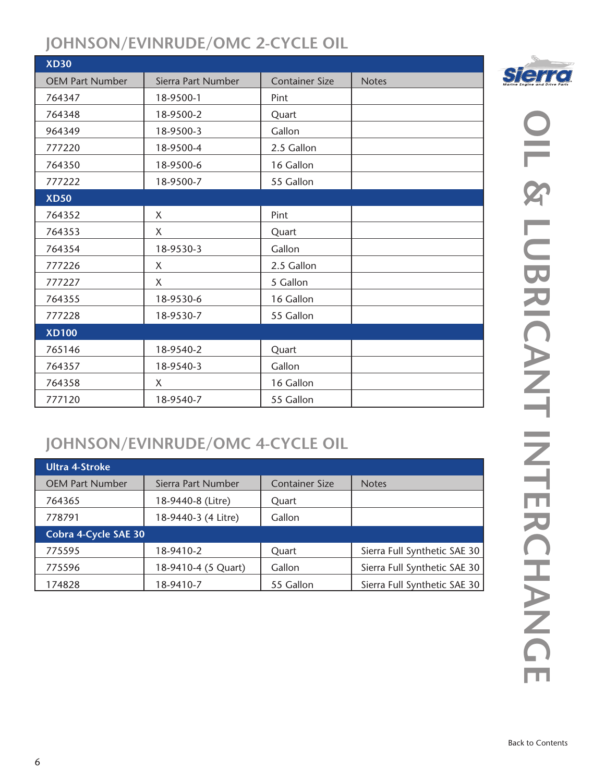#### **JOHNSON/EVINRUDE/OMC 2-CYCLE OIL**

| <b>XD30</b>            |                    |                       |              |
|------------------------|--------------------|-----------------------|--------------|
| <b>OEM Part Number</b> | Sierra Part Number | <b>Container Size</b> | <b>Notes</b> |
| 764347                 | 18-9500-1          | Pint                  |              |
| 764348                 | 18-9500-2          | Quart                 |              |
| 964349                 | 18-9500-3          | Gallon                |              |
| 777220                 | 18-9500-4          | 2.5 Gallon            |              |
| 764350                 | 18-9500-6          | 16 Gallon             |              |
| 777222                 | 18-9500-7          | 55 Gallon             |              |
| <b>XD50</b>            |                    |                       |              |
| 764352                 | X                  | Pint                  |              |
| 764353                 | X                  | Quart                 |              |
| 764354                 | 18-9530-3          | Gallon                |              |
| 777226                 | X                  | 2.5 Gallon            |              |
| 777227                 | X                  | 5 Gallon              |              |
| 764355                 | 18-9530-6          | 16 Gallon             |              |
| 777228                 | 18-9530-7          | 55 Gallon             |              |
| <b>XD100</b>           |                    |                       |              |
| 765146                 | 18-9540-2          | Quart                 |              |
| 764357                 | 18-9540-3          | Gallon                |              |
| 764358                 | X                  | 16 Gallon             |              |
| 777120                 | 18-9540-7          | 55 Gallon             |              |

# **JOHNSON/EVINRUDE/OMC 4-CYCLE OIL**

| <b>Ultra 4-Stroke</b>  |                     |                       |                              |
|------------------------|---------------------|-----------------------|------------------------------|
| <b>OEM Part Number</b> | Sierra Part Number  | <b>Container Size</b> | <b>Notes</b>                 |
| 764365                 | 18-9440-8 (Litre)   | Quart                 |                              |
| 778791                 | 18-9440-3 (4 Litre) | Gallon                |                              |
| Cobra 4-Cycle SAE 30   |                     |                       |                              |
| 775595                 | 18-9410-2           | Quart                 | Sierra Full Synthetic SAE 30 |
| 775596                 | 18-9410-4 (5 Quart) | Gallon                | Sierra Full Synthetic SAE 30 |
| 174828                 | 18-9410-7           | 55 Gallon             | Sierra Full Synthetic SAE 30 |

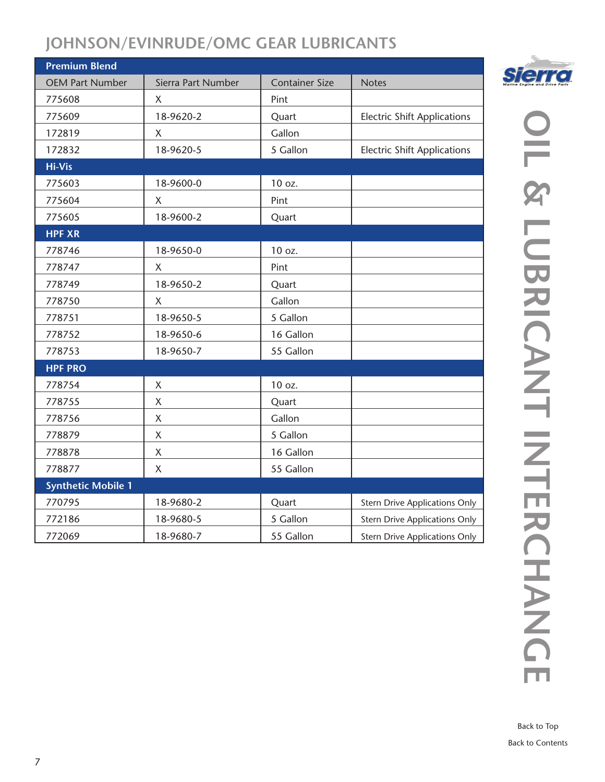#### **JOHNSON/EVINRUDE/OMC GEAR LUBRICANTS**

| <b>Premium Blend</b>      |                    |                       |                                      |
|---------------------------|--------------------|-----------------------|--------------------------------------|
| <b>OEM Part Number</b>    | Sierra Part Number | <b>Container Size</b> | <b>Notes</b>                         |
| 775608                    | $\mathsf{X}$       | Pint                  |                                      |
| 775609                    | 18-9620-2          | Quart                 | <b>Electric Shift Applications</b>   |
| 172819                    | X                  | Gallon                |                                      |
| 172832                    | 18-9620-5          | 5 Gallon              | <b>Electric Shift Applications</b>   |
| <b>Hi-Vis</b>             |                    |                       |                                      |
| 775603                    | 18-9600-0          | 10 oz.                |                                      |
| 775604                    | X                  | Pint                  |                                      |
| 775605                    | 18-9600-2          | Quart                 |                                      |
| <b>HPF XR</b>             |                    |                       |                                      |
| 778746                    | 18-9650-0          | 10 oz.                |                                      |
| 778747                    | X                  | Pint                  |                                      |
| 778749                    | 18-9650-2          | Quart                 |                                      |
| 778750                    | X                  | Gallon                |                                      |
| 778751                    | 18-9650-5          | 5 Gallon              |                                      |
| 778752                    | 18-9650-6          | 16 Gallon             |                                      |
| 778753                    | 18-9650-7          | 55 Gallon             |                                      |
| <b>HPF PRO</b>            |                    |                       |                                      |
| 778754                    | $\mathsf X$        | 10 oz.                |                                      |
| 778755                    | X                  | Quart                 |                                      |
| 778756                    | X                  | Gallon                |                                      |
| 778879                    | X                  | 5 Gallon              |                                      |
| 778878                    | $\mathsf X$        | 16 Gallon             |                                      |
| 778877                    | X                  | 55 Gallon             |                                      |
| <b>Synthetic Mobile 1</b> |                    |                       |                                      |
| 770795                    | 18-9680-2          | Quart                 | <b>Stern Drive Applications Only</b> |
| 772186                    | 18-9680-5          | 5 Gallon              | <b>Stern Drive Applications Only</b> |
| 772069                    | 18-9680-7          | 55 Gallon             | <b>Stern Drive Applications Only</b> |

**Sierre**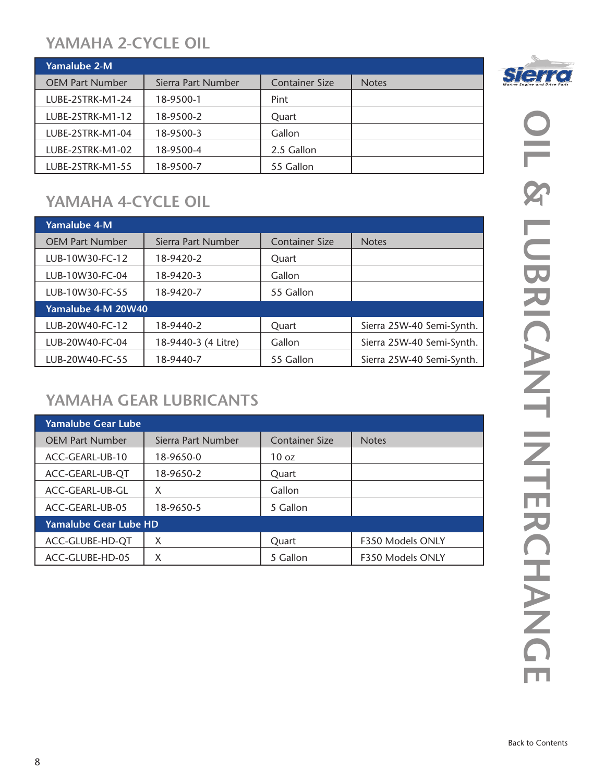### **YAMAHA 2-CYCLE OIL**

| <b>Yamalube 2-M</b>    |                    |                       |              |
|------------------------|--------------------|-----------------------|--------------|
| <b>OEM Part Number</b> | Sierra Part Number | <b>Container Size</b> | <b>Notes</b> |
| LUBE-2STRK-M1-24       | 18-9500-1          | Pint                  |              |
| LUBE-2STRK-M1-12       | 18-9500-2          | Quart                 |              |
| LUBE-2STRK-M1-04       | 18-9500-3          | Gallon                |              |
| LUBE-2STRK-M1-02       | 18-9500-4          | 2.5 Gallon            |              |
| LUBE-2STRK-M1-55       | 18-9500-7          | 55 Gallon             |              |

## **YAMAHA 4-CYCLE OIL**

| Yamalube 4-M           |                     |                       |                           |
|------------------------|---------------------|-----------------------|---------------------------|
| <b>OEM Part Number</b> | Sierra Part Number  | <b>Container Size</b> | <b>Notes</b>              |
| LUB-10W30-FC-12        | 18-9420-2           | Quart                 |                           |
| LUB-10W30-FC-04        | 18-9420-3           | Gallon                |                           |
| LUB-10W30-FC-55        | 18-9420-7           | 55 Gallon             |                           |
| Yamalube 4-M 20W40     |                     |                       |                           |
| LUB-20W40-FC-12        | 18-9440-2           | Quart                 | Sierra 25W-40 Semi-Synth. |
| LUB-20W40-FC-04        | 18-9440-3 (4 Litre) | Gallon                | Sierra 25W-40 Semi-Synth. |
| LUB-20W40-FC-55        | 18-9440-7           | 55 Gallon             | Sierra 25W-40 Semi-Synth. |

### **YAMAHA GEAR LUBRICANTS**

| Yamalube Gear Lube     |                    |                       |                  |
|------------------------|--------------------|-----------------------|------------------|
| <b>OEM Part Number</b> | Sierra Part Number | <b>Container Size</b> | <b>Notes</b>     |
| ACC-GEARL-UB-10        | 18-9650-0          | 10 <sub>oz</sub>      |                  |
| ACC-GEARL-UB-QT        | 18-9650-2          | Quart                 |                  |
| ACC-GEARL-UB-GL        | X                  | Gallon                |                  |
| ACC-GEARL-UB-05        | 18-9650-5          | 5 Gallon              |                  |
| Yamalube Gear Lube HD  |                    |                       |                  |
| ACC-GLUBE-HD-QT        | X                  | Quart                 | F350 Models ONLY |
| ACC-GLUBE-HD-05        | X                  | 5 Gallon              | F350 Models ONLY |

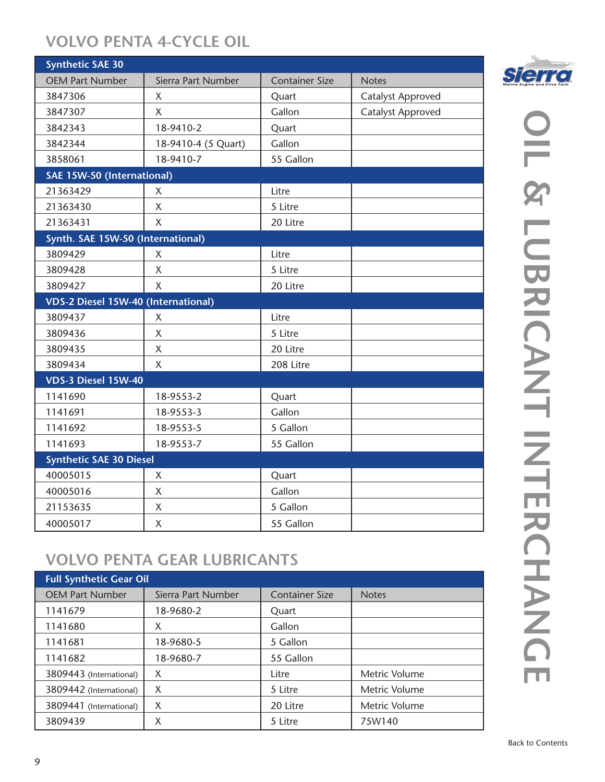## **VOLVO PENTA 4-CYCLE OIL**

| <b>Synthetic SAE 30</b>             |                     |                       |                          |
|-------------------------------------|---------------------|-----------------------|--------------------------|
| <b>OEM Part Number</b>              | Sierra Part Number  | <b>Container Size</b> | <b>Notes</b>             |
| 3847306                             | $\sf X$             | Quart                 | <b>Catalyst Approved</b> |
| 3847307                             | X                   | Gallon                | <b>Catalyst Approved</b> |
| 3842343                             | 18-9410-2           | Quart                 |                          |
| 3842344                             | 18-9410-4 (5 Quart) | Gallon                |                          |
| 3858061                             | 18-9410-7           | 55 Gallon             |                          |
| SAE 15W-50 (International)          |                     |                       |                          |
| 21363429                            | X                   | Litre                 |                          |
| 21363430                            | $\sf X$             | 5 Litre               |                          |
| 21363431                            | $\mathsf{X}$        | 20 Litre              |                          |
| Synth. SAE 15W-50 (International)   |                     |                       |                          |
| 3809429                             | X                   | Litre                 |                          |
| 3809428                             | X                   | 5 Litre               |                          |
| 3809427                             | X                   | 20 Litre              |                          |
| VDS-2 Diesel 15W-40 (International) |                     |                       |                          |
| 3809437                             | X                   | Litre                 |                          |
| 3809436                             | $\sf X$             | 5 Litre               |                          |
| 3809435                             | X                   | 20 Litre              |                          |
| 3809434                             | $\overline{X}$      | 208 Litre             |                          |
| VDS-3 Diesel 15W-40                 |                     |                       |                          |
| 1141690                             | 18-9553-2           | Quart                 |                          |
| 1141691                             | 18-9553-3           | Gallon                |                          |
| 1141692                             | 18-9553-5           | 5 Gallon              |                          |
| 1141693                             | 18-9553-7           | 55 Gallon             |                          |
| <b>Synthetic SAE 30 Diesel</b>      |                     |                       |                          |
| 40005015                            | X                   | Quart                 |                          |
| 40005016                            | $\mathsf{X}$        | Gallon                |                          |
| 21153635                            | $\mathsf{X}$        | 5 Gallon              |                          |
| 40005017                            | X                   | 55 Gallon             |                          |

# **VOLVO PENTA GEAR LUBRICANTS**

| <b>Full Synthetic Gear Oil</b> |                    |                       |               |
|--------------------------------|--------------------|-----------------------|---------------|
| <b>OEM Part Number</b>         | Sierra Part Number | <b>Container Size</b> | <b>Notes</b>  |
| 1141679                        | 18-9680-2          | Quart                 |               |
| 1141680                        | X                  | Gallon                |               |
| 1141681                        | 18-9680-5          | 5 Gallon              |               |
| 1141682                        | 18-9680-7          | 55 Gallon             |               |
| 3809443 (International)        | X                  | Litre                 | Metric Volume |
| 3809442 (International)        | X                  | 5 Litre               | Metric Volume |
| 3809441 (International)        | X                  | 20 Litre              | Metric Volume |
| 3809439                        | Χ                  | 5 Litre               | 75W140        |

# **OIL & LUBRICANT INTERCHANGE** L & LUBRICANTERCHANC П

**Sierra**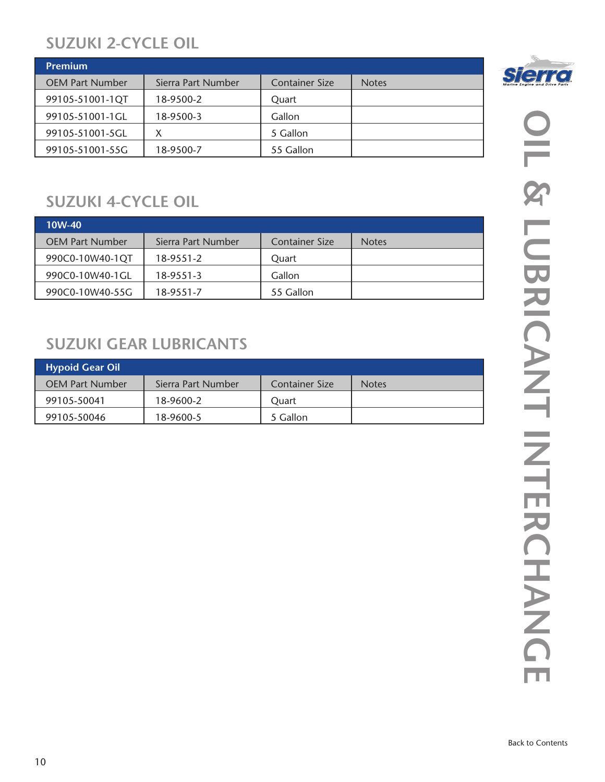#### **SUZUKI 2-CYCLE OIL**

| <b>Premium</b>         |                    |                       |              |
|------------------------|--------------------|-----------------------|--------------|
| <b>OEM Part Number</b> | Sierra Part Number | <b>Container Size</b> | <b>Notes</b> |
| 99105-51001-1QT        | 18-9500-2          | Ouart                 |              |
| 99105-51001-1GL        | 18-9500-3          | Gallon                |              |
| 99105-51001-5GL        | Χ                  | 5 Gallon              |              |
| 99105-51001-55G        | 18-9500-7          | 55 Gallon             |              |

### **SUZUKI 4-CYCLE OIL**

| 10W-40                 |                    |                |              |
|------------------------|--------------------|----------------|--------------|
| <b>OEM Part Number</b> | Sierra Part Number | Container Size | <b>Notes</b> |
| 990C0-10W40-1QT        | 18-9551-2          | Quart          |              |
| 990C0-10W40-1GL        | 18-9551-3          | Gallon         |              |
| 990C0-10W40-55G        | 18-9551-7          | 55 Gallon      |              |

### **SUZUKI GEAR LUBRICANTS**

| <b>Hypoid Gear Oil</b> |                    |                |              |
|------------------------|--------------------|----------------|--------------|
| <b>OEM Part Number</b> | Sierra Part Number | Container Size | <b>Notes</b> |
| 99105-50041            | 18-9600-2          | Ouart          |              |
| 99105-50046            | 18-9600-5          | 5 Gallon       |              |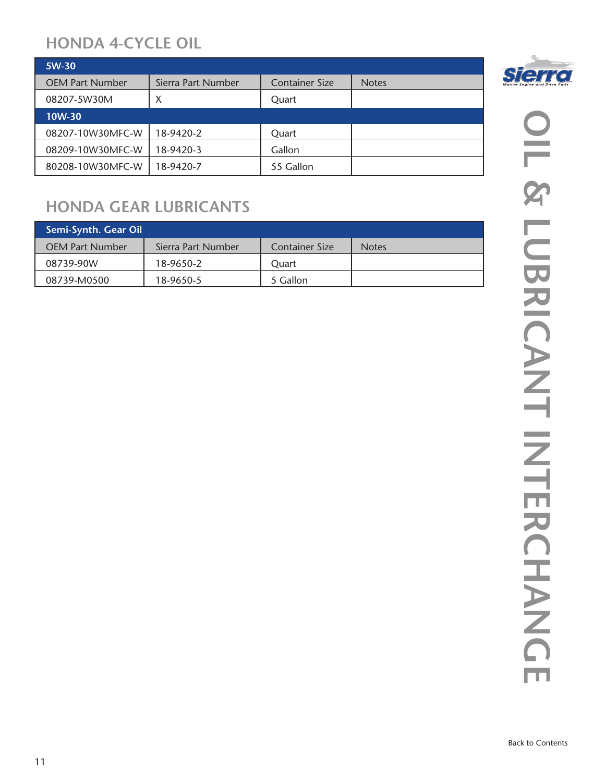#### **HONDA 4-CYCLE OIL**

| 5W-30                  |                    |                       |              |
|------------------------|--------------------|-----------------------|--------------|
| <b>OEM Part Number</b> | Sierra Part Number | <b>Container Size</b> | <b>Notes</b> |
| 08207-5W30M            | X                  | Quart                 |              |
| 10W-30                 |                    |                       |              |
| 08207-10W30MFC-W       | 18-9420-2          | Quart                 |              |
| 08209-10W30MFC-W       | 18-9420-3          | Gallon                |              |
| 80208-10W30MFC-W       | 18-9420-7          | 55 Gallon             |              |

### **HONDA GEAR LUBRICANTS**

| Semi-Synth. Gear Oil   |                    |                       |              |
|------------------------|--------------------|-----------------------|--------------|
| <b>OEM Part Number</b> | Sierra Part Number | <b>Container Size</b> | <b>Notes</b> |
| 08739-90W              | 18-9650-2          | Ouart                 |              |
| 08739-M0500            | 18-9650-5          | 5 Gallon              |              |

**OIL & LUBRICANT INTERCHANGE** п 2 LUBRICANT INTERCHANG

**Sierre** 

ш